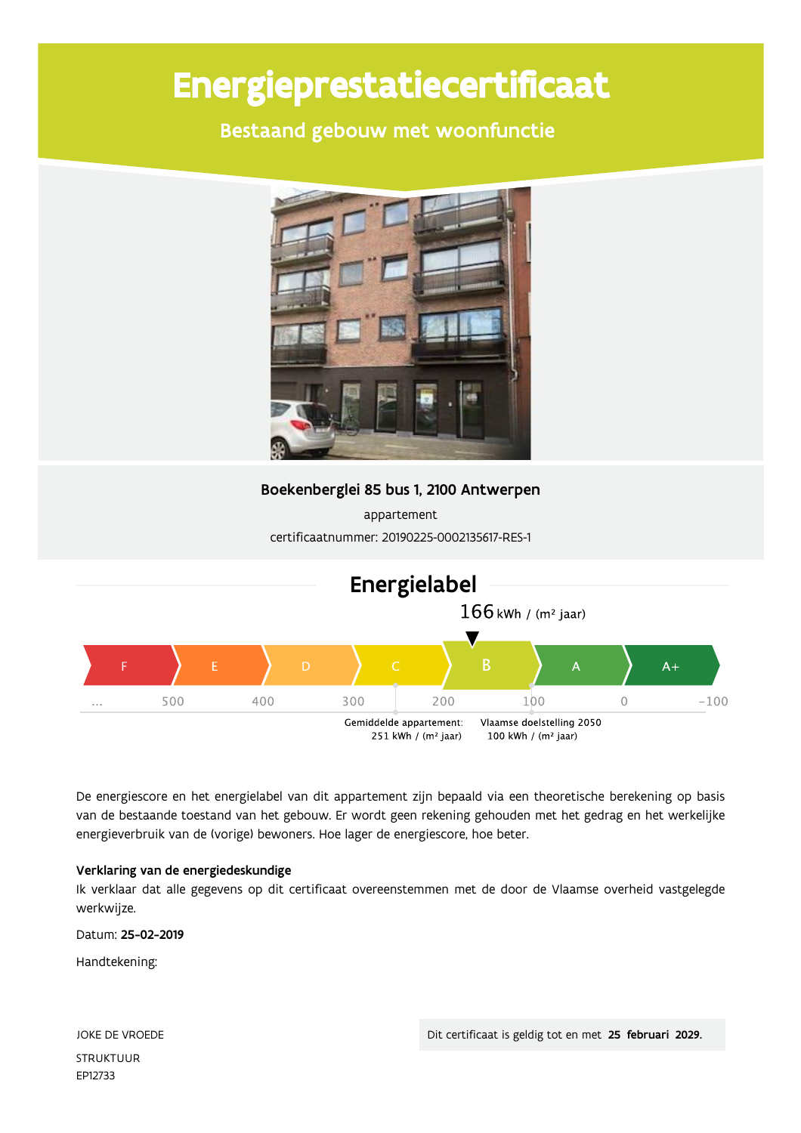# Energieprestatiecertificaat

Bestaand gebouw met woonfunctie



Boekenberglei 85 bus 1, 2100 Antwerpen

appartement certificaatnummer: 20190225-0002135617-RES-1



De energiescore en het energielabel van dit appartement zijn bepaald via een theoretische berekening op basis van de bestaande toestand van het gebouw. Er wordt geen rekening gehouden met het gedrag en het werkelijke energieverbruik van de (vorige) bewoners. Hoe lager de energiescore, hoe beter.

#### Verklaring van de energiedeskundige

Ik verklaar dat alle gegevens op dit certificaat overeenstemmen met de door de Vlaamse overheid vastgelegde werkwijze.

Datum: 25-02-2019

Handtekening:

JOKE DE VROEDE **STRUKTUUR** EP12733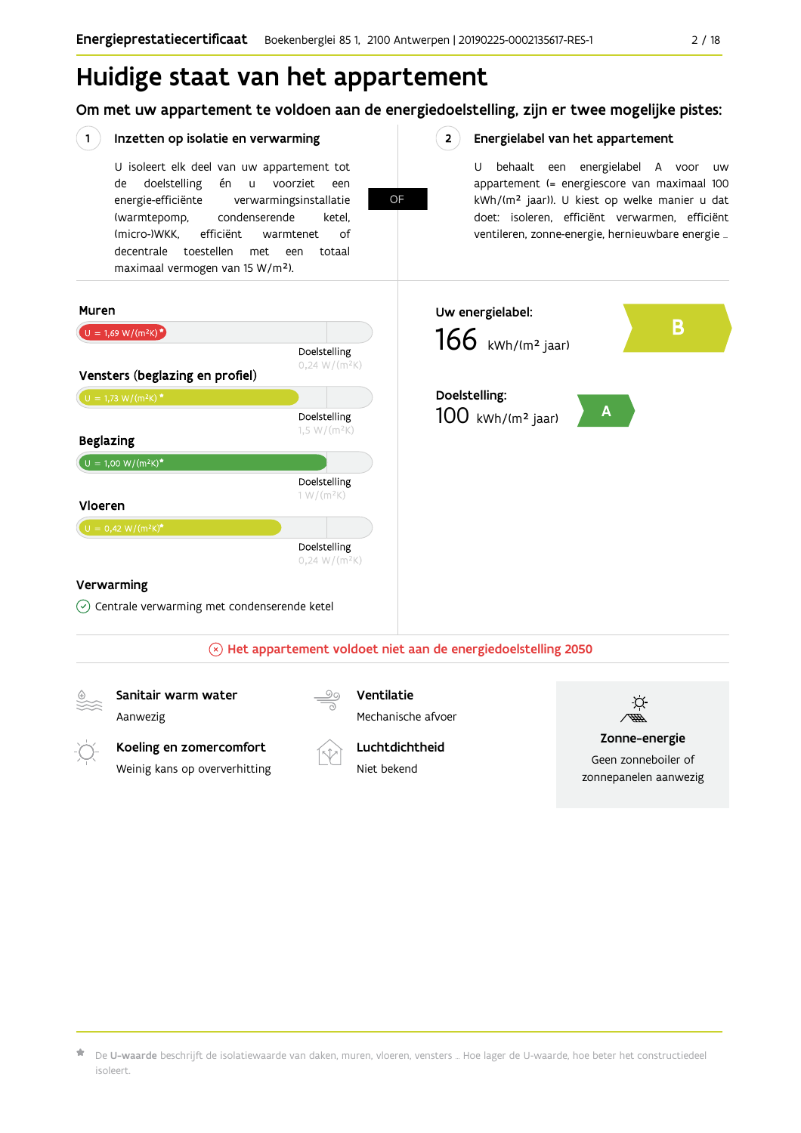## Huidige staat van het appartement

Om met uw appartement te voldoen aan de energiedoelstelling, zijn er twee mogelijke pistes:

**OF** 

 $2^{\circ}$ 

#### $(1)$ Inzetten op isolatie en verwarming

U isoleert elk deel van uw appartement tot doelstelling én u voorziet de een energie-efficiënte verwarmingsinstallatie (warmtepomp, condenserende ketel, (micro-)WKK. efficiënt warmtenet  $\bigcap_{ }$ decentrale toestellen met een totaal maximaal vermogen van 15 W/m<sup>2</sup>).

#### Energielabel van het appartement

U behaalt een energielabel A voor  $\overline{U}$ appartement (= energiescore van maximaal 100 kWh/(m<sup>2</sup> jaar)). U kiest op welke manier u dat doet: isoleren, efficiënt verwarmen, efficiënt ventileren, zonne-energie, hernieuwbare energie ...



 $\star$  De **U-waarde** beschrijft de isolatiewaarde van daken, muren, vloeren, vensters … Hoe lager de U-waarde, hoe beter het constructiedeel isoleert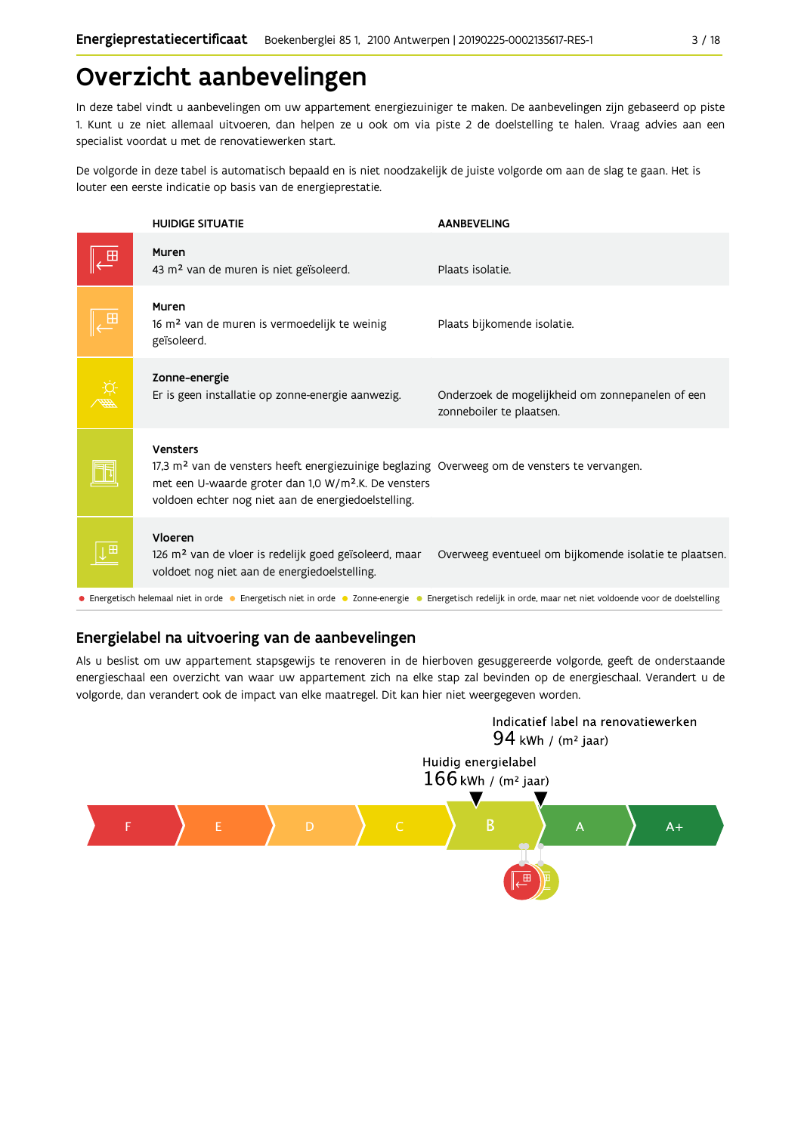## Overzicht aanbevelingen

In deze tabel vindt u aanbevelingen om uw appartement energiezuiniger te maken. De aanbevelingen zijn gebaseerd op piste 1. Kunt u ze niet allemaal uitvoeren, dan helpen ze u ook om via piste 2 de doelstelling te halen. Vraag advies aan een specialist voordat u met de renovatiewerken start.

De volgorde in deze tabel is automatisch bepaald en is niet noodzakelijk de juiste volgorde om aan de slag te gaan. Het is louter een eerste indicatie op basis van de energieprestatie.

| <b>HUIDIGE SITUATIE</b>                                                                                                                                                                                                                                | <b>AANBEVELING</b>                                                           |
|--------------------------------------------------------------------------------------------------------------------------------------------------------------------------------------------------------------------------------------------------------|------------------------------------------------------------------------------|
| Muren<br>43 m <sup>2</sup> van de muren is niet geïsoleerd.                                                                                                                                                                                            | Plaats isolatie.                                                             |
| Muren<br>16 m <sup>2</sup> van de muren is vermoedelijk te weinig<br>geïsoleerd.                                                                                                                                                                       | Plaats bijkomende isolatie.                                                  |
| Zonne-energie<br>Er is geen installatie op zonne-energie aanwezig.                                                                                                                                                                                     | Onderzoek de mogelijkheid om zonnepanelen of een<br>zonneboiler te plaatsen. |
| <b>Vensters</b><br>17,3 m <sup>2</sup> van de vensters heeft energiezuinige beglazing Overweeg om de vensters te vervangen.<br>met een U-waarde groter dan 1,0 W/m <sup>2</sup> .K. De vensters<br>voldoen echter nog niet aan de energiedoelstelling. |                                                                              |
| Vloeren<br>126 m <sup>2</sup> van de vloer is redelijk goed geïsoleerd, maar<br>voldoet nog niet aan de energiedoelstelling.                                                                                                                           | Overweeg eventueel om bijkomende isolatie te plaatsen.                       |
| • Energetisch helemaal niet in orde • Energetisch niet in orde • Zonne-energie • Energetisch redelijk in orde, maar net niet voldoende voor de doelstelling                                                                                            |                                                                              |

### Energielabel na uitvoering van de aanbevelingen

Als u beslist om uw appartement stapsgewijs te renoveren in de hierboven gesuggereerde volgorde, geeft de onderstaande energieschaal een overzicht van waar uw appartement zich na elke stap zal bevinden op de energieschaal. Verandert u de volgorde, dan verandert ook de impact van elke maatregel. Dit kan hier niet weergegeven worden.

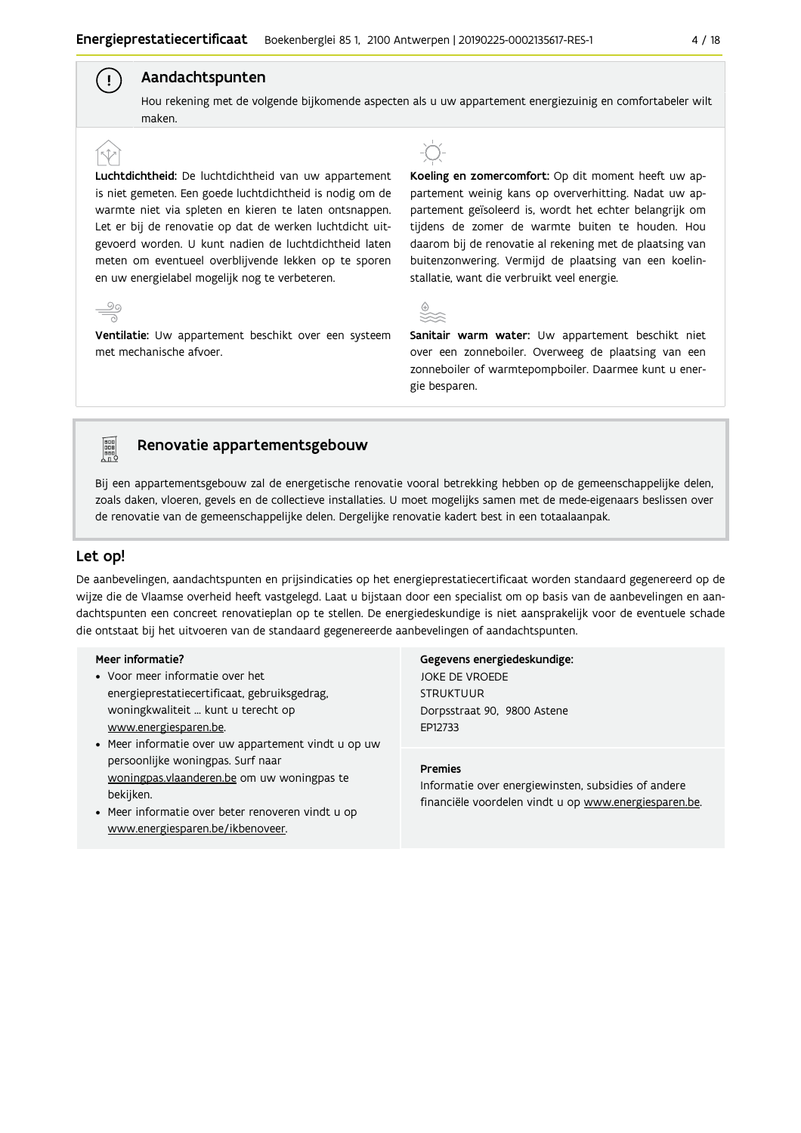#### Aandachtspunten

Hou rekening met de volgende bijkomende aspecten als u uw appartement energiezuinig en comfortabeler wilt maken

Luchtdichtheid: De luchtdichtheid van uw appartement is niet gemeten. Een goede luchtdichtheid is nodig om de warmte niet via spleten en kieren te laten ontsnappen. Let er bij de renovatie op dat de werken luchtdicht uitgevoerd worden. U kunt nadien de luchtdichtheid laten meten om eventueel overblijvende lekken op te sporen en uw energielabel mogelijk nog te verbeteren.

Ventilatie: Uw appartement beschikt over een systeem met mechanische afvoer.

Koeling en zomercomfort: Op dit moment heeft uw appartement weinig kans op oververhitting. Nadat uw appartement geïsoleerd is, wordt het echter belangrijk om tijdens de zomer de warmte buiten te houden. Hou daarom bij de renovatie al rekening met de plaatsing van buitenzonwering. Vermijd de plaatsing van een koelinstallatie, want die verbruikt veel energie.



Sanitair warm water: Uw appartement beschikt niet over een zonneboiler. Overweeg de plaatsing van een zonneboiler of warmtepompboiler. Daarmee kunt u energie besparen.

## **FOR THE**

 $\frac{90}{1}$ 

 $\mathbf{I}$ 

#### Renovatie appartementsgebouw

Bij een appartementsgebouw zal de energetische renovatie vooral betrekking hebben op de gemeenschappelijke delen, zoals daken, vloeren, gevels en de collectieve installaties. U moet mogelijks samen met de mede-eigenaars beslissen over de renovatie van de gemeenschappelijke delen. Dergelijke renovatie kadert best in een totaalaanpak.

#### Let op!

De aanbevelingen, aandachtspunten en prijsindicaties op het energieprestatiecertificaat worden standaard gegenereerd op de wijze die de Vlaamse overheid heeft vastgelegd. Laat u bijstaan door een specialist om op basis van de aanbevelingen en aandachtspunten een concreet renovatieplan op te stellen. De energiedeskundige is niet aansprakelijk voor de eventuele schade die ontstaat bij het uitvoeren van de standaard gegenereerde aanbevelingen of aandachtspunten.

#### Meer informatie?

- Voor meer informatie over het energieprestatiecertificaat, gebruiksgedrag, woningkwaliteit ... kunt u terecht op www.energiesparen.be.
- Meer informatie over uw appartement vindt u op uw persoonlijke woningpas. Surf naar woningpas.vlaanderen.be om uw woningpas te bekijken.
- Meer informatie over beter renoveren vindt u op www.energiesparen.be/ikbenoveer.

#### Gegevens energiedeskundige: JOKE DE VROEDE

**STRUKTUUR** Dorpsstraat 90, 9800 Astene EP12733

#### **Premies**

Informatie over energiewinsten, subsidies of andere financiële voordelen vindt u op www.energiesparen.be.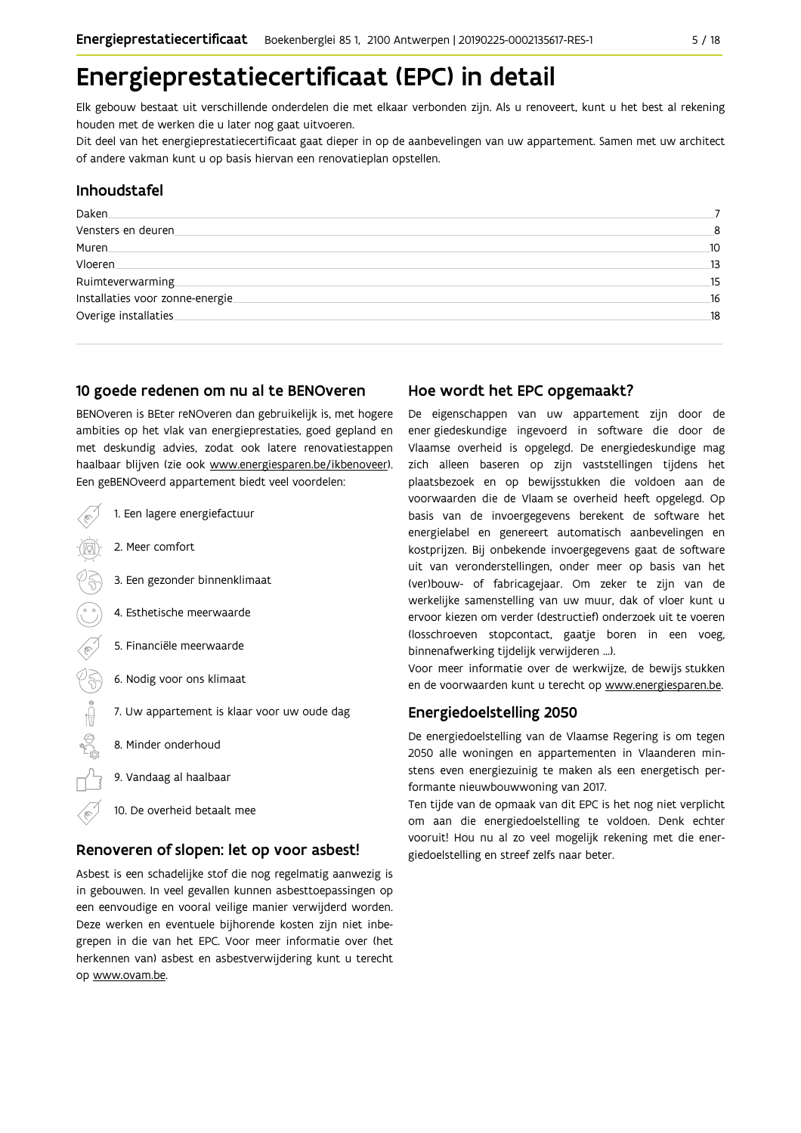## Energieprestatiecertificaat (EPC) in detail

Elk gebouw bestaat uit verschillende onderdelen die met elkaar verbonden zijn. Als u renoveert, kunt u het best al rekening houden met de werken die u later nog gaat uitvoeren.

Dit deel van het energieprestatiecertificaat gaat dieper in op de aanbevelingen van uw appartement. Samen met uw architect of andere vakman kunt u op basis hiervan een renovatieplan opstellen.

#### Inhoudstafel

| Daken.                          |    |
|---------------------------------|----|
| Vensters en deuren              |    |
| Muren                           | 10 |
| <b>Vloeren</b>                  | 13 |
| Ruimteverwarming                | 15 |
| Installaties voor zonne-energie | 16 |
| Overige installaties            | 18 |
|                                 |    |

#### 10 goede redenen om nu al te BENOveren

BENOveren is BEter reNOveren dan gebruikelijk is, met hogere ambities op het vlak van energieprestaties, goed gepland en met deskundig advies, zodat ook latere renovatiestappen haalbaar blijven (zie ook www.energiesparen.be/ikbenoveer). Een geBENOveerd appartement biedt veel voordelen:

1. Een lagere energiefactuur 2. Meer comfort 3. Een gezonder binnenklimaat 4. Esthetische meerwaarde 5. Financiële meerwaarde  $\begin{matrix} \mathcal{C} \\ \mathcal{S} \end{matrix}$ 6. Nodig voor ons klimaat 7. Uw appartement is klaar voor uw oude dag  $\bigoplus_{n=1}^{\infty}$ 8. Minder onderhoud 9. Vandaag al haalbaar 10. De overheid betaalt mee

#### Renoveren of slopen: let op voor asbest!

Asbest is een schadelijke stof die nog regelmatig aanwezig is in gebouwen. In veel gevallen kunnen asbesttoepassingen op een eenvoudige en vooral veilige manier verwijderd worden. Deze werken en eventuele bijhorende kosten zijn niet inbegrepen in die van het EPC. Voor meer informatie over (het herkennen van) asbest en asbestverwijdering kunt u terecht op www.ovam.be.

#### Hoe wordt het EPC opgemaakt?

De eigenschappen van uw appartement zijn door de ener giedeskundige ingevoerd in software die door de Vlaamse overheid is opgelegd. De energiedeskundige mag zich alleen baseren op zijn vaststellingen tijdens het plaatsbezoek en op bewijsstukken die voldoen aan de voorwaarden die de Vlaam se overheid heeft opgelegd. Op basis van de invoergegevens berekent de software het energielabel en genereert automatisch aanbevelingen en kostprijzen. Bij onbekende invoergegevens gaat de software uit van veronderstellingen, onder meer op basis van het (ver)bouw- of fabricagejaar. Om zeker te zijn van de werkelijke samenstelling van uw muur, dak of vloer kunt u ervoor kiezen om verder (destructief) onderzoek uit te voeren (losschroeven stopcontact, gaatje boren in een voeg, binnenafwerking tijdelijk verwijderen ...).

Voor meer informatie over de werkwijze, de bewijs stukken en de voorwaarden kunt u terecht op www.energiesparen.be.

#### **Energiedoelstelling 2050**

De energiedoelstelling van de Vlaamse Regering is om tegen 2050 alle woningen en appartementen in Vlaanderen minstens even energiezuinig te maken als een energetisch performante nieuwbouwwoning van 2017.

Ten tijde van de opmaak van dit EPC is het nog niet verplicht om aan die energiedoelstelling te voldoen. Denk echter vooruit! Hou nu al zo veel mogelijk rekening met die energiedoelstelling en streef zelfs naar beter.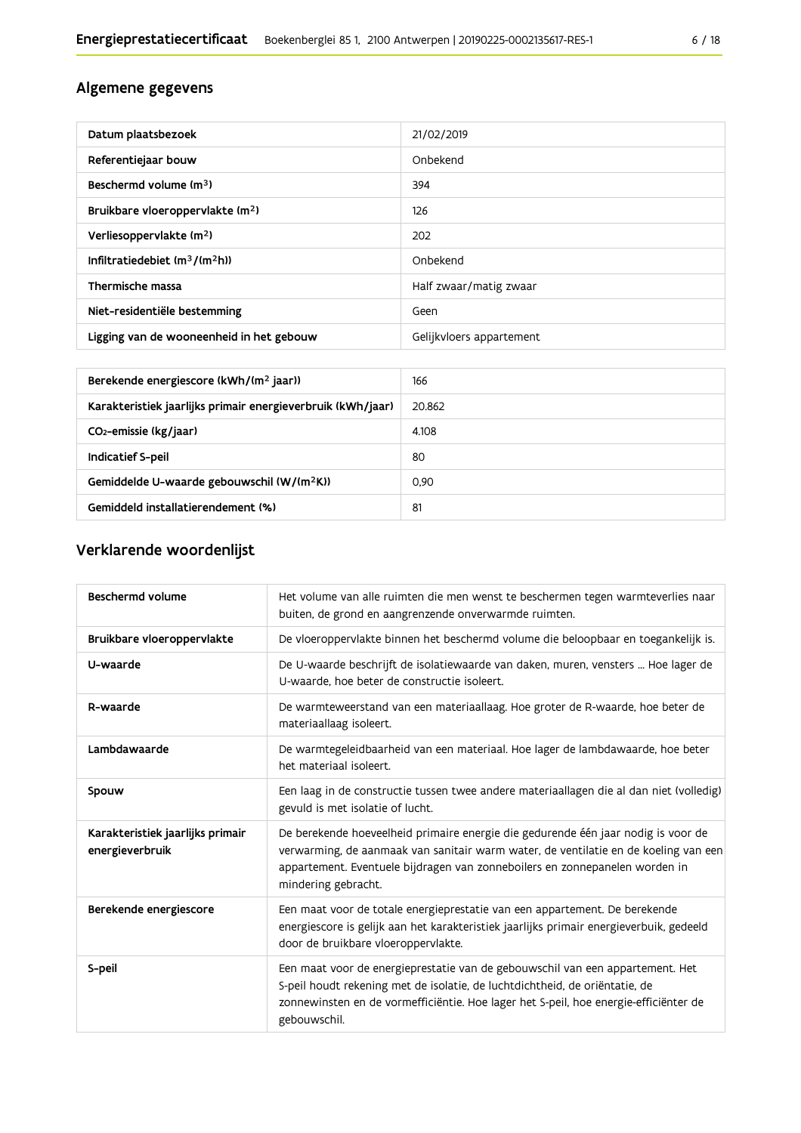### Algemene gegevens

| Datum plaatsbezoek                           | 21/02/2019               |
|----------------------------------------------|--------------------------|
| Referentiejaar bouw                          | Onbekend                 |
| Beschermd volume (m <sup>3</sup> )           | 394                      |
| Bruikbare vloeroppervlakte (m <sup>2</sup> ) | 126                      |
| Verliesoppervlakte (m <sup>2</sup> )         | 202                      |
| Infiltratiedebiet $(m^3/(m^2h))$             | Onbekend                 |
| Thermische massa                             | Half zwaar/matig zwaar   |
| Niet-residentiële bestemming                 | Geen                     |
| Ligging van de wooneenheid in het gebouw     | Gelijkvloers appartement |

| Berekende energiescore (kWh/(m <sup>2</sup> jaar))          | 166    |
|-------------------------------------------------------------|--------|
| Karakteristiek jaarlijks primair energieverbruik (kWh/jaar) | 20.862 |
| CO <sub>2</sub> -emissie (kg/jaar)                          | 4.108  |
| Indicatief S-peil                                           | 80     |
| Gemiddelde U-waarde gebouwschil (W/(m <sup>2</sup> K))      | 0.90   |
| Gemiddeld installatierendement (%)                          | 81     |

### Verklarende woordenlijst

| Beschermd volume                                    | Het volume van alle ruimten die men wenst te beschermen tegen warmteverlies naar<br>buiten, de grond en aangrenzende onverwarmde ruimten.                                                                                                                                      |
|-----------------------------------------------------|--------------------------------------------------------------------------------------------------------------------------------------------------------------------------------------------------------------------------------------------------------------------------------|
| Bruikbare vloeroppervlakte                          | De vloeroppervlakte binnen het beschermd volume die beloopbaar en toegankelijk is.                                                                                                                                                                                             |
| U-waarde                                            | De U-waarde beschrijft de isolatiewaarde van daken, muren, vensters  Hoe lager de<br>U-waarde, hoe beter de constructie isoleert.                                                                                                                                              |
| R-waarde                                            | De warmteweerstand van een materiaallaag. Hoe groter de R-waarde, hoe beter de<br>materiaallaag isoleert.                                                                                                                                                                      |
| Lambdawaarde                                        | De warmtegeleidbaarheid van een materiaal. Hoe lager de lambdawaarde, hoe beter<br>het materiaal isoleert.                                                                                                                                                                     |
| Spouw                                               | Een laag in de constructie tussen twee andere materiaallagen die al dan niet (volledig)<br>gevuld is met isolatie of lucht.                                                                                                                                                    |
| Karakteristiek jaarlijks primair<br>energieverbruik | De berekende hoeveelheid primaire energie die gedurende één jaar nodig is voor de<br>verwarming, de aanmaak van sanitair warm water, de ventilatie en de koeling van een<br>appartement. Eventuele bijdragen van zonneboilers en zonnepanelen worden in<br>mindering gebracht. |
| Berekende energiescore                              | Een maat voor de totale energieprestatie van een appartement. De berekende<br>energiescore is gelijk aan het karakteristiek jaarlijks primair energieverbuik, gedeeld<br>door de bruikbare vloeroppervlakte.                                                                   |
| S-peil                                              | Een maat voor de energieprestatie van de gebouwschil van een appartement. Het<br>S-peil houdt rekening met de isolatie, de luchtdichtheid, de oriëntatie, de<br>zonnewinsten en de vormefficiëntie. Hoe lager het S-peil, hoe energie-efficiënter de<br>gebouwschil.           |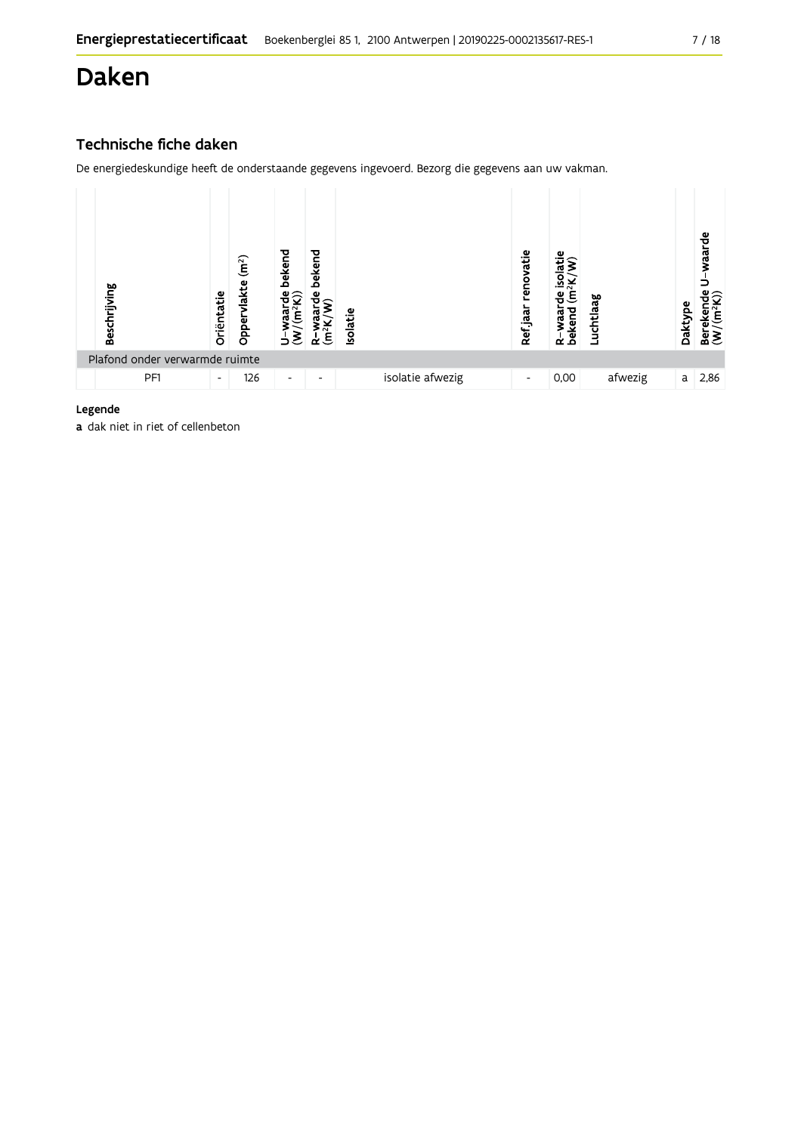## Daken

### Technische fiche daken

De energiedeskundige heeft de onderstaande gegevens ingevoerd. Bezorg die gegevens aan uw vakman.

| Beschrijving                   | Oriëntatie               | (m <sup>2</sup> )<br>Oppervlakte | bekend<br>ಕಿಂ<br>ಡ<br>∍  | bekend<br>ω<br>ξ<br>≃    | <b>Isolatie</b> |                  | renovatie<br>Ref jaar | ≅.<br>٥<br>$\tilde{\mathbf{f}}$<br>Φ<br>┳<br>R-waar<br>bekend | Luchtlaag | Daktype | waarde<br>å₫<br>$\widetilde{\mathsf{E}}$<br>Bereker<br>(W/(m <sup>2</sup> |
|--------------------------------|--------------------------|----------------------------------|--------------------------|--------------------------|-----------------|------------------|-----------------------|---------------------------------------------------------------|-----------|---------|---------------------------------------------------------------------------|
| Plafond onder verwarmde ruimte |                          |                                  |                          |                          |                 |                  |                       |                                                               |           |         |                                                                           |
| PF1                            | $\overline{\phantom{a}}$ | 126                              | $\overline{\phantom{a}}$ | $\overline{\phantom{0}}$ |                 | isolatie afwezig | ٠                     | 0,00                                                          | afwezig   | a       | 2,86                                                                      |

#### Legende

a dak niet in riet of cellenbeton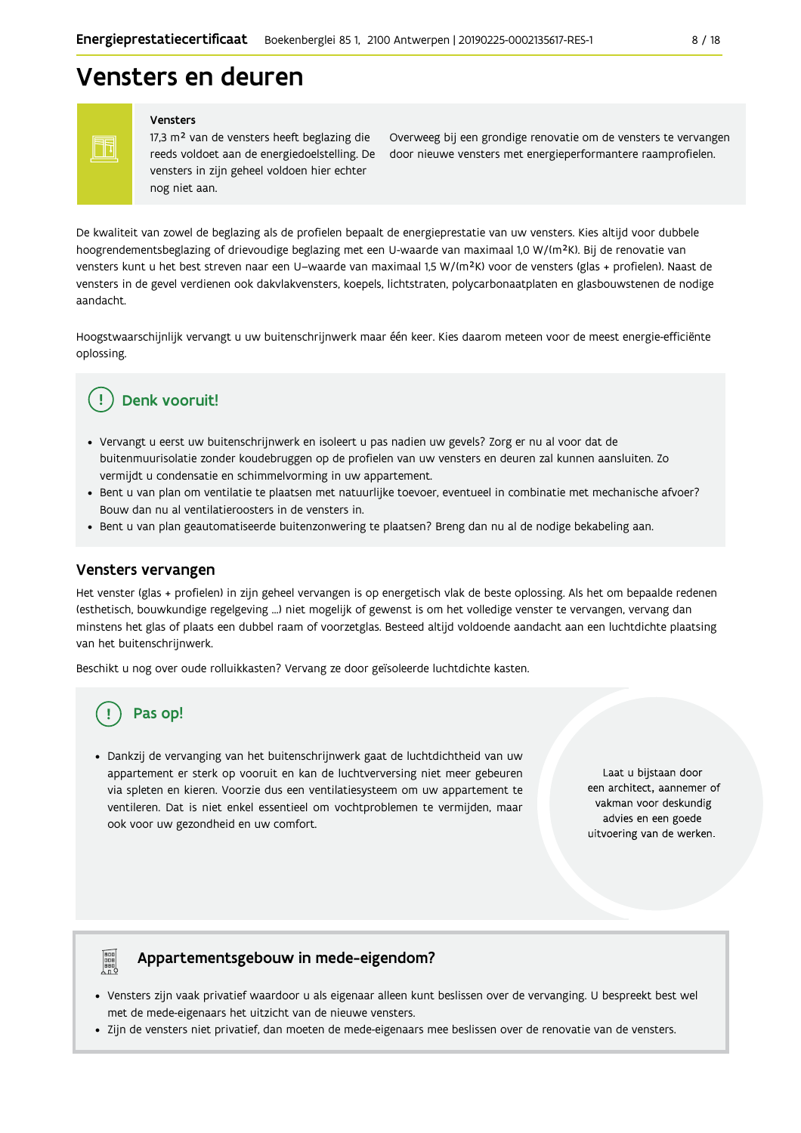## Vensters en deuren

Vensters

Ħ

17,3 m<sup>2</sup> van de vensters heeft beglazing die vensters in zijn geheel voldoen hier echter nog niet aan.

Overweeg bij een grondige renovatie om de vensters te vervangen reeds voldoet aan de energiedoelstelling. De door nieuwe vensters met energieperformantere raamprofielen.

De kwaliteit van zowel de beglazing als de profielen bepaalt de energieprestatie van uw vensters. Kies altijd voor dubbele hoogrendementsbeglazing of drievoudige beglazing met een U-waarde van maximaal 1,0 W/(m<sup>2</sup>K). Bij de renovatie van vensters kunt u het best streven naar een U-waarde van maximaal 1,5 W/(m<sup>2</sup>K) voor de vensters (glas + profielen). Naast de vensters in de gevel verdienen ook dakvlakvensters, koepels, lichtstraten, polycarbonaatplaten en glasbouwstenen de nodige aandacht.

Hoogstwaarschijnlijk vervangt u uw buitenschrijnwerk maar één keer. Kies daarom meteen voor de meest energie-efficiënte oplossing.

### Denk vooruit!

- · Vervangt u eerst uw buitenschrijnwerk en isoleert u pas nadien uw gevels? Zorg er nu al voor dat de buitenmuurisolatie zonder koudebruggen op de profielen van uw vensters en deuren zal kunnen aansluiten. Zo vermijdt u condensatie en schimmelvorming in uw appartement.
- Bent u van plan om ventilatie te plaatsen met natuurlijke toevoer, eventueel in combinatie met mechanische afvoer? Bouw dan nu al ventilatieroosters in de vensters in.
- · Bent u van plan geautomatiseerde buitenzonwering te plaatsen? Breng dan nu al de nodige bekabeling aan.

#### Vensters vervangen

Het venster (glas + profielen) in zijn geheel vervangen is op energetisch vlak de beste oplossing. Als het om bepaalde redenen (esthetisch, bouwkundige regelgeving ...) niet mogelijk of gewenst is om het volledige venster te vervangen, vervang dan minstens het glas of plaats een dubbel raam of voorzetglas. Besteed altijd voldoende aandacht aan een luchtdichte plaatsing van het buitenschrijnwerk.

Beschikt u nog over oude rolluikkasten? Vervang ze door geïsoleerde luchtdichte kasten.

### Pas op!

· Dankzij de vervanging van het buitenschrijnwerk gaat de luchtdichtheid van uw appartement er sterk op vooruit en kan de luchtverversing niet meer gebeuren via spleten en kieren. Voorzie dus een ventilatiesysteem om uw appartement te ventileren. Dat is niet enkel essentieel om vochtproblemen te vermijden, maar ook voor uw gezondheid en uw comfort.

Laat u bijstaan door een architect, aannemer of vakman voor deskundig advies en een goede uitvoering van de werken.

## **Page**

### Appartementsgebouw in mede-eigendom?

- · Vensters zijn vaak privatief waardoor u als eigenaar alleen kunt beslissen over de vervanging. U bespreekt best wel met de mede-eigenaars het uitzicht van de nieuwe vensters.
- · Zijn de vensters niet privatief, dan moeten de mede-eigenaars mee beslissen over de renovatie van de vensters.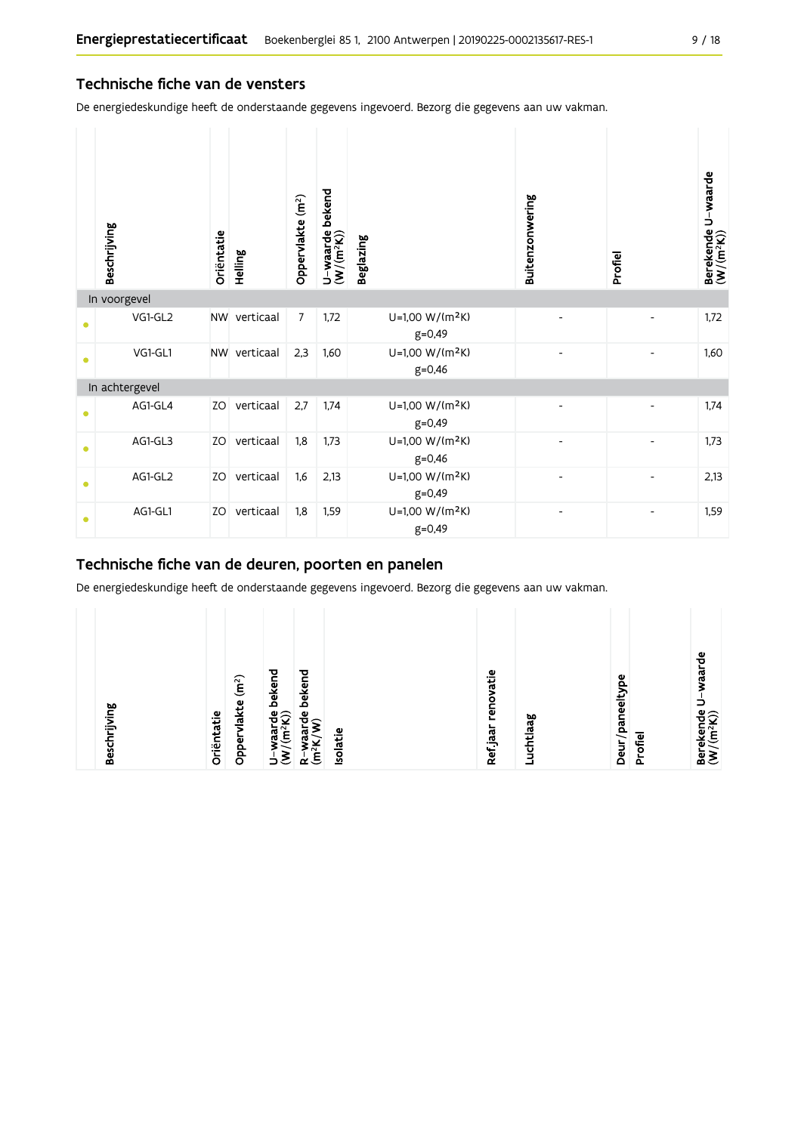#### Technische fiche van de vensters

De energiedeskundige heeft de onderstaande gegevens ingevoerd. Bezorg die gegevens aan uw vakman.

|           | Beschrijving   | Oriëntatie | Helling      | Oppervlakte (m <sup>2</sup> ) | bekend<br>$U$ –waarde l $(W/(m^2K))$ | <b>Beglazing</b>                          | Buitenzonwering | Profiel | Berekende U-waarde<br>(W/(m <sup>2</sup> K)) |
|-----------|----------------|------------|--------------|-------------------------------|--------------------------------------|-------------------------------------------|-----------------|---------|----------------------------------------------|
|           | In voorgevel   |            |              |                               |                                      |                                           |                 |         |                                              |
| $\bullet$ | VG1-GL2        |            | NW verticaal | $\overline{7}$                | 1,72                                 | U=1,00 W/(m <sup>2</sup> K)<br>$g = 0,49$ |                 |         | 1,72                                         |
| $\bullet$ | VG1-GL1        | <b>NW</b>  | verticaal    | 2,3                           | 1,60                                 | U=1,00 W/(m <sup>2</sup> K)<br>$g = 0,46$ |                 |         | 1,60                                         |
|           | In achtergevel |            |              |                               |                                      |                                           |                 |         |                                              |
| $\bullet$ | AG1-GL4        | ZO         | verticaal    | 2,7                           | 1,74                                 | U=1,00 W/(m <sup>2</sup> K)<br>$g=0,49$   |                 |         | 1,74                                         |
| $\bullet$ | AG1-GL3        | ZO         | verticaal    | 1,8                           | 1,73                                 | U=1,00 W/(m <sup>2</sup> K)<br>$g = 0,46$ |                 |         | 1,73                                         |
| $\bullet$ | AG1-GL2        | ZO         | verticaal    | 1,6                           | 2,13                                 | U=1,00 W/(m <sup>2</sup> K)<br>$g = 0,49$ |                 |         | 2,13                                         |
| $\bullet$ | AG1-GL1        | ZO         | verticaal    | 1,8                           | 1,59                                 | U=1,00 W/(m <sup>2</sup> K)<br>$g = 0,49$ | $\overline{a}$  |         | 1,59                                         |

### Technische fiche van de deuren, poorten en panelen

De energiedeskundige heeft de onderstaande gegevens ingevoerd. Bezorg die gegevens aan uw vakman.

|--|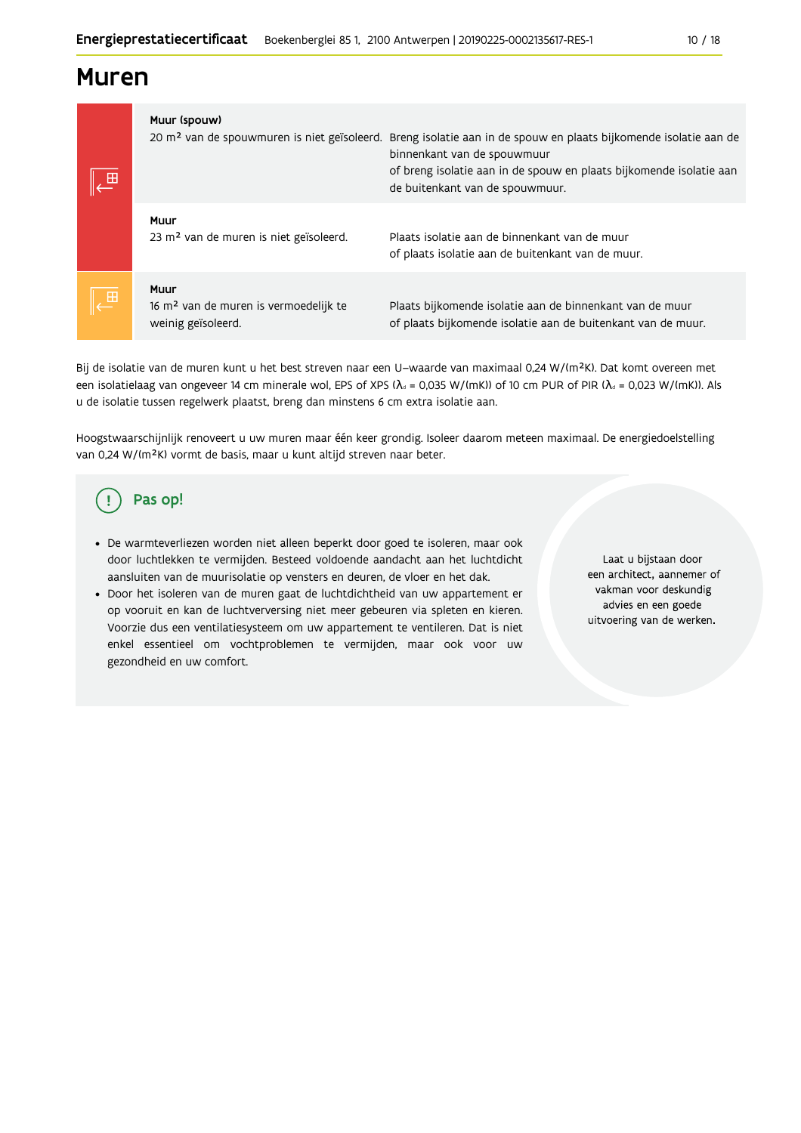### **Muren**

|        | Muur (spouw)<br>20 m <sup>2</sup> van de spouwmuren is niet geïsoleerd.         | Breng isolatie aan in de spouw en plaats bijkomende isolatie aan de<br>binnenkant van de spouwmuur<br>of breng isolatie aan in de spouw en plaats bijkomende isolatie aan<br>de buitenkant van de spouwmuur. |
|--------|---------------------------------------------------------------------------------|--------------------------------------------------------------------------------------------------------------------------------------------------------------------------------------------------------------|
|        | Muur<br>23 m <sup>2</sup> van de muren is niet geïsoleerd.                      | Plaats isolatie aan de binnenkant van de muur<br>of plaats isolatie aan de buitenkant van de muur.                                                                                                           |
| $\Box$ | Muur<br>16 m <sup>2</sup> van de muren is vermoedelijk te<br>weinig geïsoleerd. | Plaats bijkomende isolatie aan de binnenkant van de muur<br>of plaats bijkomende isolatie aan de buitenkant van de muur.                                                                                     |

Bij de isolatie van de muren kunt u het best streven naar een U-waarde van maximaal 0,24 W/(m<sup>2</sup>K). Dat komt overeen met een isolatielaag van ongeveer 14 cm minerale wol, EPS of XPS ( $\lambda_a$  = 0,035 W/(mK)) of 10 cm PUR of PIR ( $\lambda_a$  = 0,023 W/(mK)). Als u de isolatie tussen regelwerk plaatst, breng dan minstens 6 cm extra isolatie aan.

Hoogstwaarschijnlijk renoveert u uw muren maar één keer grondig. Isoleer daarom meteen maximaal. De energiedoelstelling van 0,24 W/(m<sup>2</sup>K) vormt de basis, maar u kunt altijd streven naar beter.

#### Pas op! ( !

- · De warmteverliezen worden niet alleen beperkt door goed te isoleren, maar ook door luchtlekken te vermijden. Besteed voldoende aandacht aan het luchtdicht aansluiten van de muurisolatie op vensters en deuren, de vloer en het dak.
- · Door het isoleren van de muren gaat de luchtdichtheid van uw appartement er op vooruit en kan de luchtverversing niet meer gebeuren via spleten en kieren. Voorzie dus een ventilatiesysteem om uw appartement te ventileren. Dat is niet enkel essentieel om vochtproblemen te vermijden, maar ook voor uw gezondheid en uw comfort.

Laat u bijstaan door een architect, aannemer of vakman voor deskundig advies en een goede uitvoering van de werken.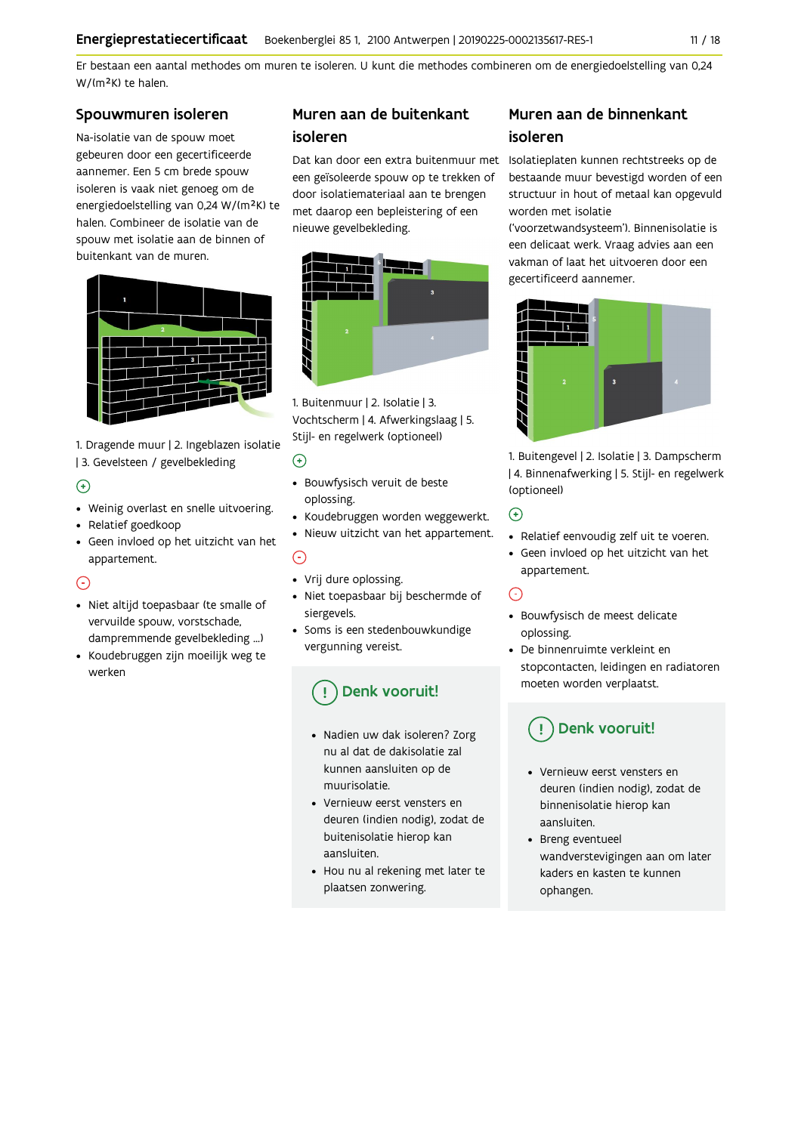Er bestaan een aantal methodes om muren te isoleren. U kunt die methodes combineren om de energiedoelstelling van 0,24 W/(m<sup>2</sup>K) te halen.

#### Spouwmuren isoleren

Na-isolatie van de spouw moet gebeuren door een gecertificeerde aannemer. Een 5 cm brede spouw isoleren is vaak niet genoeg om de energiedoelstelling van 0,24 W/(m<sup>2</sup>K) te halen. Combineer de isolatie van de spouw met isolatie aan de binnen of buitenkant van de muren.



1. Dragende muur | 2. Ingeblazen isolatie | 3. Gevelsteen / gevelbekleding

#### $\left( \begin{matrix} + \end{matrix} \right)$

- Weinig overlast en snelle uitvoering.
- Relatief goedkoop
- Geen invloed op het uitzicht van het appartement.

### $\odot$

- · Niet altijd toepasbaar (te smalle of vervuilde spouw, vorstschade, dampremmende gevelbekleding ...)
- Koudebruggen zijn moeilijk weg te werken

### Muren aan de buitenkant isoleren

een geïsoleerde spouw op te trekken of door isolatiemateriaal aan te brengen met daarop een bepleistering of een nieuwe gevelbekleding.



1. Buitenmuur | 2. Isolatie | 3. Vochtscherm | 4. Afwerkingslaag | 5. Stijl- en regelwerk (optioneel)

### $\bigoplus$

- · Bouwfysisch veruit de beste oplossing.
- Koudebruggen worden weggewerkt.
- Nieuw uitzicht van het appartement.  $\odot$
- Vrij dure oplossing.
- · Niet toepasbaar bij beschermde of siergevels.
- Soms is een stedenbouwkundige vergunning vereist.

## Denk vooruit!

- Nadien uw dak isoleren? Zorg nu al dat de dakisolatie zal kunnen aansluiten op de muurisolatie.
- Vernieuw eerst vensters en deuren (indien nodig), zodat de buitenisolatie hierop kan aansluiten.
- Hou nu al rekening met later te plaatsen zonwering.

### Muren aan de binnenkant isoleren

Dat kan door een extra buitenmuur met Isolatieplaten kunnen rechtstreeks op de bestaande muur bevestigd worden of een structuur in hout of metaal kan opgevuld worden met isolatie

> ('voorzetwandsysteem'). Binnenisolatie is een delicaat werk. Vraag advies aan een vakman of laat het uitvoeren door een gecertificeerd aannemer.



1. Buitengevel | 2. Isolatie | 3. Dampscherm | 4. Binnenafwerking | 5. Stijl- en regelwerk (optioneel)

### $\odot$

- Relatief eenvoudig zelf uit te voeren.
- Geen invloed op het uitzicht van het appartement.

### ∩

- · Bouwfysisch de meest delicate oplossing.
- De binnenruimte verkleint en stopcontacten, leidingen en radiatoren moeten worden verplaatst.

## Denk vooruit!

- Vernieuw eerst vensters en deuren (indien nodig), zodat de binnenisolatie hierop kan aansluiten.
- Breng eventueel wandverstevigingen aan om later kaders en kasten te kunnen ophangen.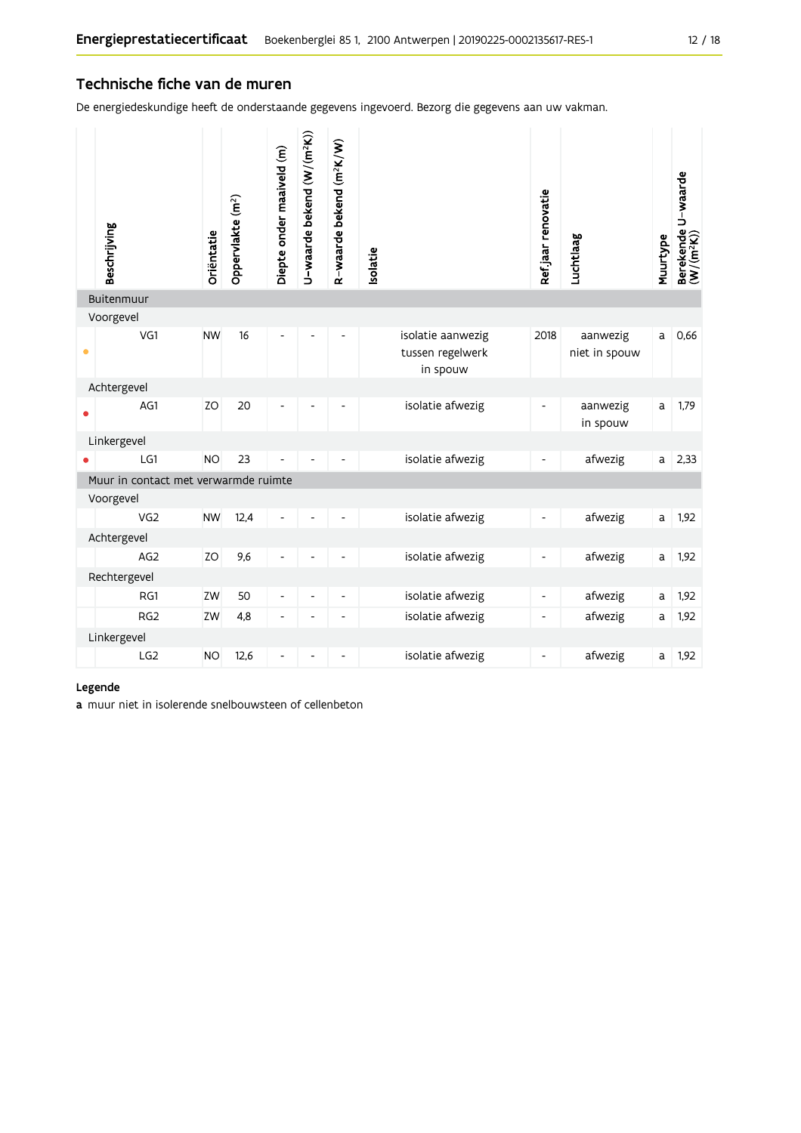#### Technische fiche van de muren

De energiedeskundige heeft de onderstaande gegevens ingevoerd. Bezorg die gegevens aan uw vakman.

|           | Beschrijving                         | Oriëntatie | Oppervlakte (m <sup>2</sup> ) | Diepte onder maaiveld (m) | U-waarde bekend (W/(m <sup>2</sup> K)) | R-waarde bekend (m <sup>2</sup> K/W) | solatie                                           | Refjaar renovatie            | Luchtlaag                 | Muurtype | Berekende U-waarde<br>(W/(m <sup>2</sup> K)) |
|-----------|--------------------------------------|------------|-------------------------------|---------------------------|----------------------------------------|--------------------------------------|---------------------------------------------------|------------------------------|---------------------------|----------|----------------------------------------------|
|           | Buitenmuur                           |            |                               |                           |                                        |                                      |                                                   |                              |                           |          |                                              |
|           | Voorgevel                            |            |                               |                           |                                        |                                      |                                                   |                              |                           |          |                                              |
| $\bullet$ | VG1                                  | <b>NW</b>  | 16                            | L,                        |                                        |                                      | isolatie aanwezig<br>tussen regelwerk<br>in spouw | 2018                         | aanwezig<br>niet in spouw | a        | 0,66                                         |
|           | Achtergevel                          |            |                               |                           |                                        |                                      |                                                   |                              |                           |          |                                              |
|           | AG1                                  | ZO         | 20                            |                           |                                        |                                      | isolatie afwezig                                  |                              | aanwezig<br>in spouw      | a        | 1,79                                         |
|           | Linkergevel                          |            |                               |                           |                                        |                                      |                                                   |                              |                           |          |                                              |
|           | LG1                                  | <b>NO</b>  | 23                            |                           |                                        |                                      | isolatie afwezig                                  | $\overline{\phantom{a}}$     | afwezig                   | a        | 2,33                                         |
|           | Muur in contact met verwarmde ruimte |            |                               |                           |                                        |                                      |                                                   |                              |                           |          |                                              |
|           | Voorgevel                            |            |                               |                           |                                        |                                      |                                                   |                              |                           |          |                                              |
|           | VG <sub>2</sub>                      | <b>NW</b>  | 12,4                          |                           |                                        |                                      | isolatie afwezig                                  |                              | afwezig                   | a        | 1,92                                         |
|           | Achtergevel                          |            |                               |                           |                                        |                                      |                                                   |                              |                           |          |                                              |
|           | AG <sub>2</sub>                      | ZO         | 9,6                           | $\overline{a}$            |                                        |                                      | isolatie afwezig                                  | $\overline{\phantom{0}}$     | afwezig                   | a        | 1,92                                         |
|           | Rechtergevel                         |            |                               |                           |                                        |                                      |                                                   |                              |                           |          |                                              |
|           | RG1                                  | ZW         | 50                            | $\blacksquare$            | $\overline{a}$                         | $\overline{\phantom{0}}$             | isolatie afwezig                                  | $\overline{\phantom{a}}$     | afwezig                   | a        | 1,92                                         |
|           | RG <sub>2</sub>                      | ZW         | 4,8                           | $\overline{\phantom{0}}$  | ٠                                      | Ĭ.                                   | isolatie afwezig                                  | $\qquad \qquad \blacksquare$ | afwezig                   | a        | 1,92                                         |
|           | Linkergevel                          |            |                               |                           |                                        |                                      |                                                   |                              |                           |          |                                              |
|           | LG2                                  | <b>NO</b>  | 12,6                          |                           |                                        |                                      | isolatie afwezig                                  |                              | afwezig                   | a        | 1,92                                         |

#### Legende

a muur niet in isolerende snelbouwsteen of cellenbeton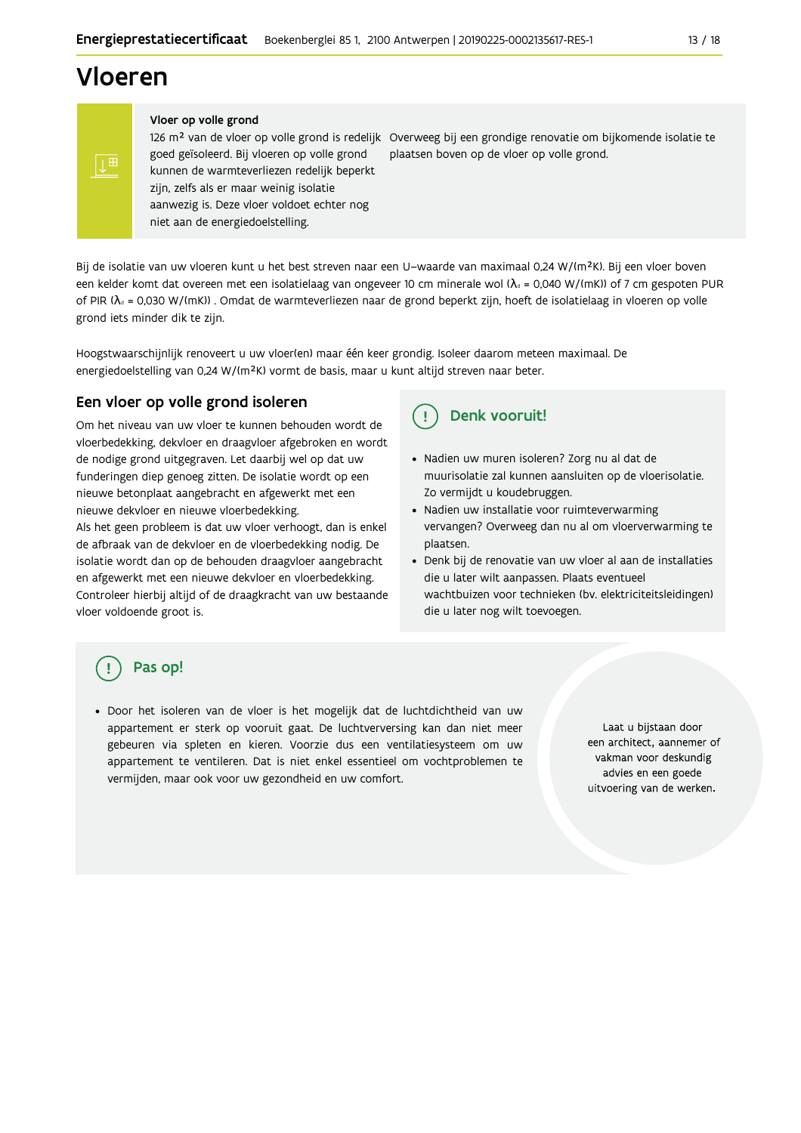## Vloeren

 $\mathbb{H}^{\mathbb{H}}$ 

Vloer op volle grond

126 m<sup>2</sup> van de vloer op volle grond is redelijk Overweeg bij een grondige renovatie om bijkomende isolatie te goed geïsoleerd. Bij vloeren op volle grond plaatsen boven op de vloer op volle grond. kunnen de warmteverliezen redelijk beperkt zijn, zelfs als er maar weinig isolatie aanwezig is. Deze vloer voldoet echter nog niet aan de energiedoelstelling.

Bij de isolatie van uw vloeren kunt u het best streven naar een U-waarde van maximaal 0,24 W/(m<sup>2</sup>K). Bij een vloer boven een kelder komt dat overeen met een isolatielaag van ongeveer 10 cm minerale wol ( $\lambda_d$  = 0,040 W/(mK)) of 7 cm gespoten PUR of PIR ( $\lambda_a$  = 0,030 W/(mK)). Omdat de warmteverliezen naar de grond beperkt zijn, hoeft de isolatielaag in vloeren op volle grond iets minder dik te zijn.

Hoogstwaarschijnlijk renoveert u uw vloer(en) maar één keer grondig. Isoleer daarom meteen maximaal. De energiedoelstelling van 0,24 W/(m<sup>2</sup>K) vormt de basis, maar u kunt altijd streven naar beter.

#### Een vloer op volle grond isoleren

Om het niveau van uw vloer te kunnen behouden wordt de vloerbedekking, dekvloer en draagvloer afgebroken en wordt de nodige grond uitgegraven. Let daarbij wel op dat uw funderingen diep genoeg zitten. De isolatie wordt op een nieuwe betonplaat aangebracht en afgewerkt met een nieuwe dekvloer en nieuwe vloerbedekking.

Als het geen probleem is dat uw vloer verhoogt, dan is enkel de afbraak van de dekvloer en de vloerbedekking nodig. De isolatie wordt dan op de behouden draagvloer aangebracht en afgewerkt met een nieuwe dekvloer en vloerbedekking. Controleer hierbij altijd of de draagkracht van uw bestaande vloer voldoende groot is.

#### Denk vooruit!  $\left( \begin{array}{c} 1 \end{array} \right)$

- · Nadien uw muren isoleren? Zorg nu al dat de muurisolatie zal kunnen aansluiten op de vloerisolatie. Zo vermijdt u koudebruggen.
- · Nadien uw installatie voor ruimteverwarming vervangen? Overweeg dan nu al om vloerverwarming te plaatsen.
- · Denk bij de renovatie van uw vloer al aan de installaties die u later wilt aanpassen. Plaats eventueel wachtbuizen voor technieken (bv. elektriciteitsleidingen) die u later nog wilt toevoegen.

## Pas op!

· Door het isoleren van de vloer is het mogelijk dat de luchtdichtheid van uw appartement er sterk op vooruit gaat. De luchtverversing kan dan niet meer gebeuren via spleten en kieren. Voorzie dus een ventilatiesysteem om uw appartement te ventileren. Dat is niet enkel essentieel om vochtproblemen te vermijden, maar ook voor uw gezondheid en uw comfort.

Laat u bijstaan door een architect, aannemer of vakman voor deskundig advies en een goede uitvoering van de werken.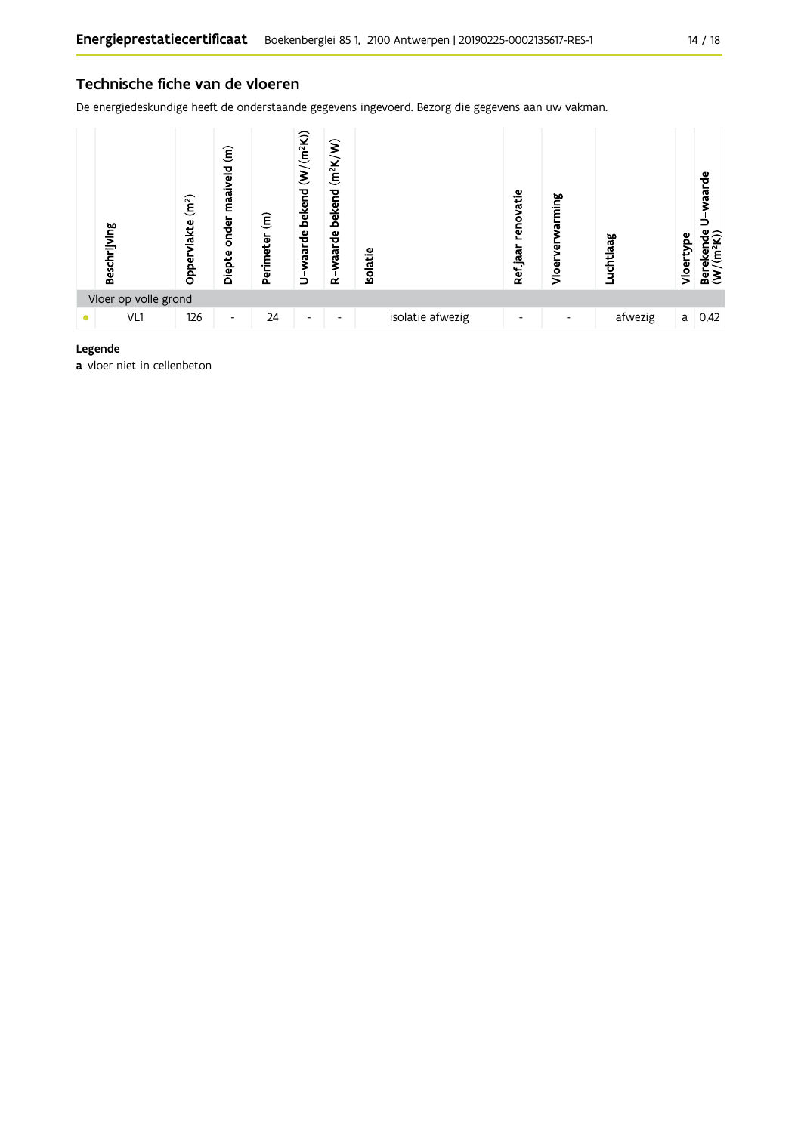De energiedeskundige heeft de onderstaande gegevens ingevoerd. Bezorg die gegevens aan uw vakman.



#### Legende

a vloer niet in cellenbeton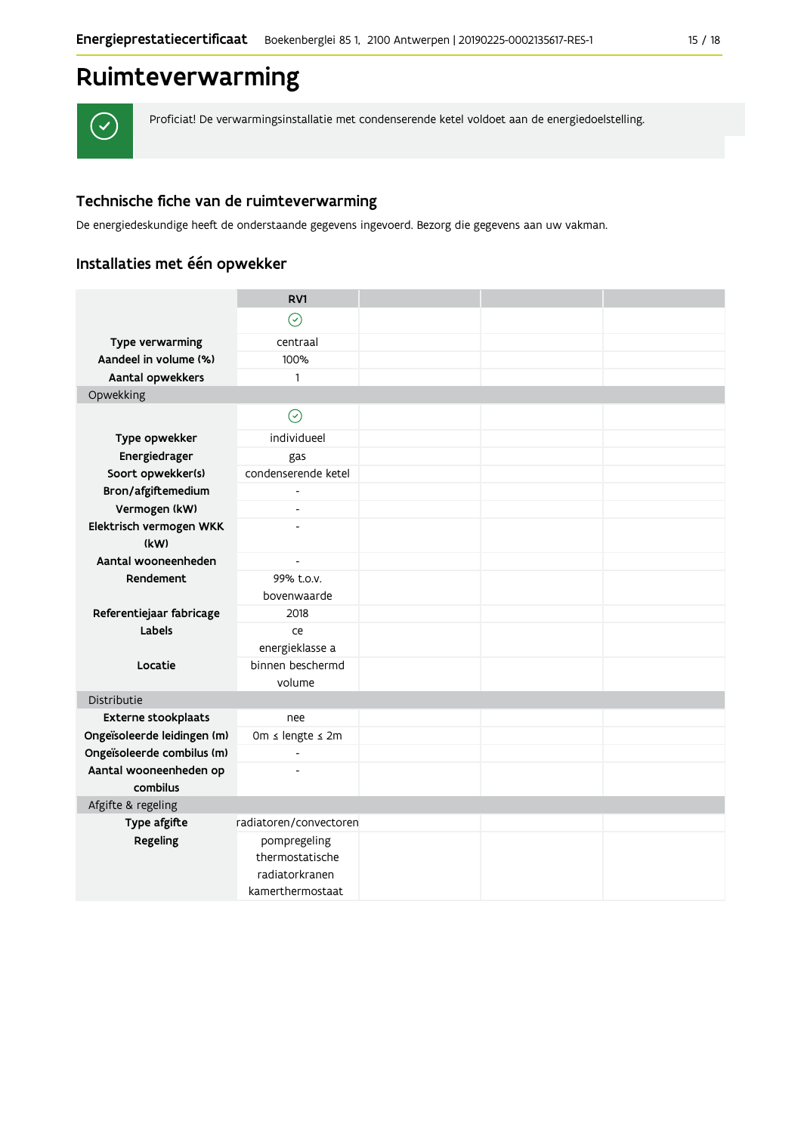## Ruimteverwarming

 $\checkmark$ 

Proficiat! De verwarmingsinstallatie met condenserende ketel voldoet aan de energiedoelstelling.

### Technische fiche van de ruimteverwarming

De energiedeskundige heeft de onderstaande gegevens ingevoerd. Bezorg die gegevens aan uw vakman.

### Installaties met één opwekker

|                             | RV1                                                                   |  |  |
|-----------------------------|-----------------------------------------------------------------------|--|--|
|                             | $\odot$                                                               |  |  |
| Type verwarming             | centraal                                                              |  |  |
| Aandeel in volume (%)       | 100%                                                                  |  |  |
| Aantal opwekkers            | $\mathbf{1}$                                                          |  |  |
| Opwekking                   |                                                                       |  |  |
|                             | $\odot$                                                               |  |  |
| Type opwekker               | individueel                                                           |  |  |
| Energiedrager               | gas                                                                   |  |  |
| Soort opwekker(s)           | condenserende ketel                                                   |  |  |
| Bron/afgiftemedium          | $\overline{\phantom{a}}$                                              |  |  |
| Vermogen (kW)               | $\overline{\phantom{a}}$                                              |  |  |
| Elektrisch vermogen WKK     | $\overline{a}$                                                        |  |  |
| (kW)                        |                                                                       |  |  |
| Aantal wooneenheden         | $\overline{a}$                                                        |  |  |
| Rendement                   | 99% t.o.v.                                                            |  |  |
|                             | bovenwaarde                                                           |  |  |
| Referentiejaar fabricage    | 2018                                                                  |  |  |
| Labels                      | ce<br>energieklasse a                                                 |  |  |
| Locatie                     | binnen beschermd<br>volume                                            |  |  |
| Distributie                 |                                                                       |  |  |
| <b>Externe stookplaats</b>  | nee                                                                   |  |  |
| Ongeïsoleerde leidingen (m) | 0m ≤ lengte ≤ 2m                                                      |  |  |
| Ongeïsoleerde combilus (m)  | L,                                                                    |  |  |
| Aantal wooneenheden op      |                                                                       |  |  |
| combilus                    |                                                                       |  |  |
| Afgifte & regeling          |                                                                       |  |  |
| Type afgifte                | radiatoren/convectoren                                                |  |  |
| Regeling                    | pompregeling<br>thermostatische<br>radiatorkranen<br>kamerthermostaat |  |  |
|                             |                                                                       |  |  |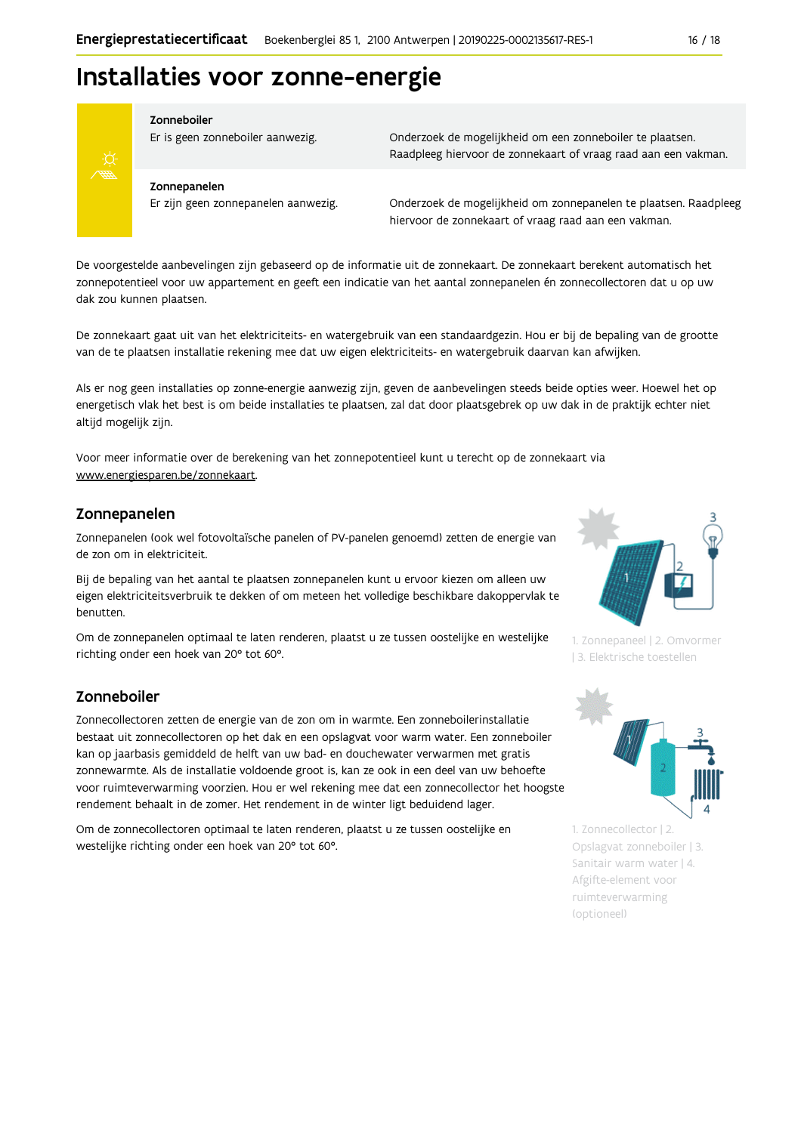## Installaties voor zonne-energie



#### Zonneboiler

Er is geen zonneboiler aanwezig.

Onderzoek de mogelijkheid om een zonneboiler te plaatsen. Raadpleeg hiervoor de zonnekaart of vraag raad aan een vakman.

#### Zonnepanelen

Er zijn geen zonnepanelen aanwezig.

Onderzoek de mogelijkheid om zonnepanelen te plaatsen. Raadpleeg hiervoor de zonnekaart of vraag raad aan een vakman.

De voorgestelde aanbevelingen zijn gebaseerd op de informatie uit de zonnekaart. De zonnekaart berekent automatisch het zonnepotentieel voor uw appartement en geeft een indicatie van het aantal zonnepanelen én zonnecollectoren dat u op uw dak zou kunnen plaatsen.

De zonnekaart gaat uit van het elektriciteits- en watergebruik van een standaardgezin. Hou er bij de bepaling van de grootte van de te plaatsen installatie rekening mee dat uw eigen elektriciteits- en watergebruik daarvan kan afwijken.

Als er nog geen installaties op zonne-energie aanwezig zijn, geven de aanbevelingen steeds beide opties weer. Hoewel het op energetisch vlak het best is om beide installaties te plaatsen, zal dat door plaatsgebrek op uw dak in de praktijk echter niet altijd mogelijk zijn.

Voor meer informatie over de berekening van het zonnepotentieel kunt u terecht op de zonnekaart via www.energiesparen.be/zonnekaart

#### Zonnepanelen

Zonnepanelen (ook wel fotovoltaïsche panelen of PV-panelen genoemd) zetten de energie van de zon om in elektriciteit.

Bij de bepaling van het aantal te plaatsen zonnepanelen kunt u ervoor kiezen om alleen uw eigen elektriciteitsverbruik te dekken of om meteen het volledige beschikbare dakoppervlak te benutten.

Om de zonnepanelen optimaal te laten renderen, plaatst u ze tussen oostelijke en westelijke richting onder een hoek van 20° tot 60°.

#### Zonneboiler

Zonnecollectoren zetten de energie van de zon om in warmte. Een zonneboilerinstallatie bestaat uit zonnecollectoren op het dak en een opslagvat voor warm water. Een zonneboiler kan op jaarbasis gemiddeld de helft van uw bad- en douchewater verwarmen met gratis zonnewarmte. Als de installatie voldoende groot is, kan ze ook in een deel van uw behoefte voor ruimteverwarming voorzien. Hou er wel rekening mee dat een zonnecollector het hoogste rendement behaalt in de zomer. Het rendement in de winter ligt beduidend lager.

Om de zonnecollectoren optimaal te laten renderen, plaatst u ze tussen oostelijke en westelijke richting onder een hoek van 20° tot 60°.



1. Zonnepaneel | 2. Omvormer 13. Elektrische toestellen



1. Zonnecollector | 2. Opslagvat zonneboiler | 3. Sanitair warm water | 4. Afgifte-element voor ruimteverwarming (optioneel)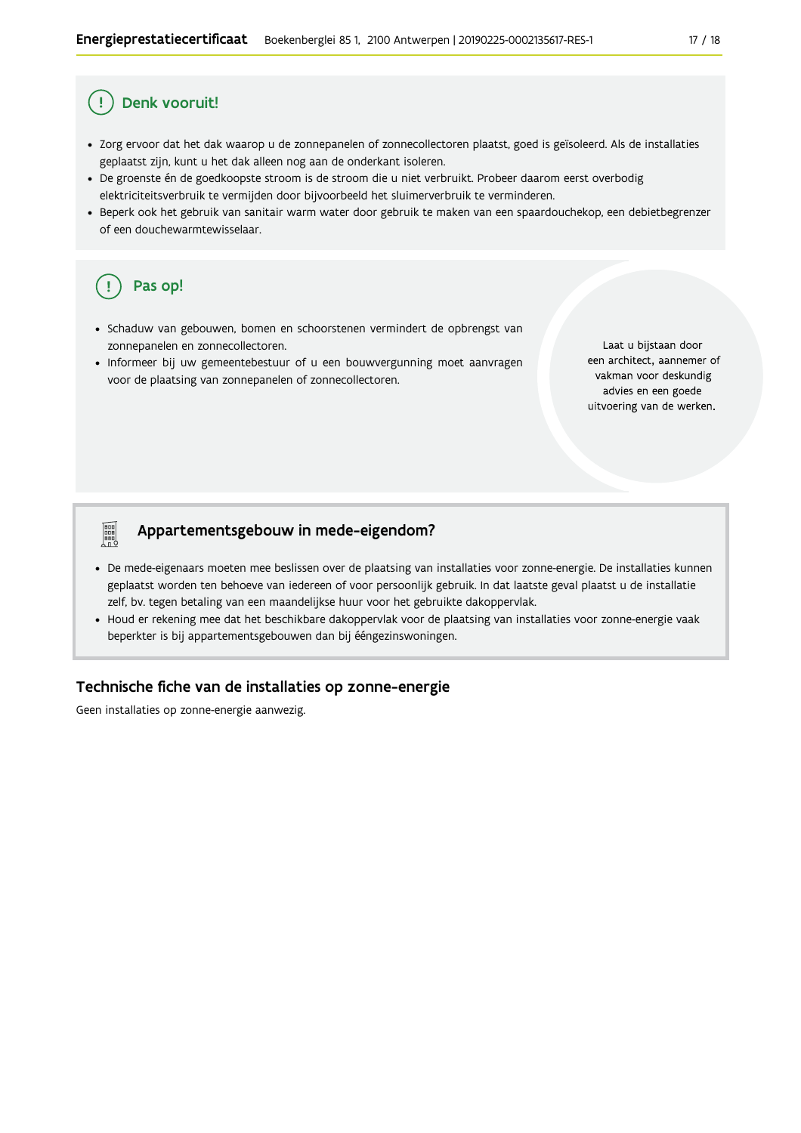### Denk vooruit!

- · Zorg ervoor dat het dak waarop u de zonnepanelen of zonnecollectoren plaatst, goed is geïsoleerd. Als de installaties geplaatst zijn, kunt u het dak alleen nog aan de onderkant isoleren.
- · De groenste én de goedkoopste stroom is de stroom die u niet verbruikt. Probeer daarom eerst overbodig elektriciteitsverbruik te vermijden door bijvoorbeeld het sluimerverbruik te verminderen.
- · Beperk ook het gebruik van sanitair warm water door gebruik te maken van een spaardouchekop, een debietbegrenzer of een douchewarmtewisselaar.

## Pas op!

**Property** 

- · Schaduw van gebouwen, bomen en schoorstenen vermindert de opbrengst van zonnepanelen en zonnecollectoren.
- · Informeer bij uw gemeentebestuur of u een bouwvergunning moet aanvragen voor de plaatsing van zonnepanelen of zonnecollectoren.

Laat u bijstaan door een architect, aannemer of vakman voor deskundig advies en een goede uitvoering van de werken.

#### Appartementsgebouw in mede-eigendom?

- De mede-eigenaars moeten mee beslissen over de plaatsing van installaties voor zonne-energie. De installaties kunnen geplaatst worden ten behoeve van iedereen of voor persoonlijk gebruik. In dat laatste geval plaatst u de installatie zelf, bv. tegen betaling van een maandelijkse huur voor het gebruikte dakoppervlak.
- Houd er rekening mee dat het beschikbare dakoppervlak voor de plaatsing van installaties voor zonne-energie vaak beperkter is bij appartementsgebouwen dan bij ééngezinswoningen.

#### Technische fiche van de installaties op zonne-energie

Geen installaties op zonne-energie aanwezig.